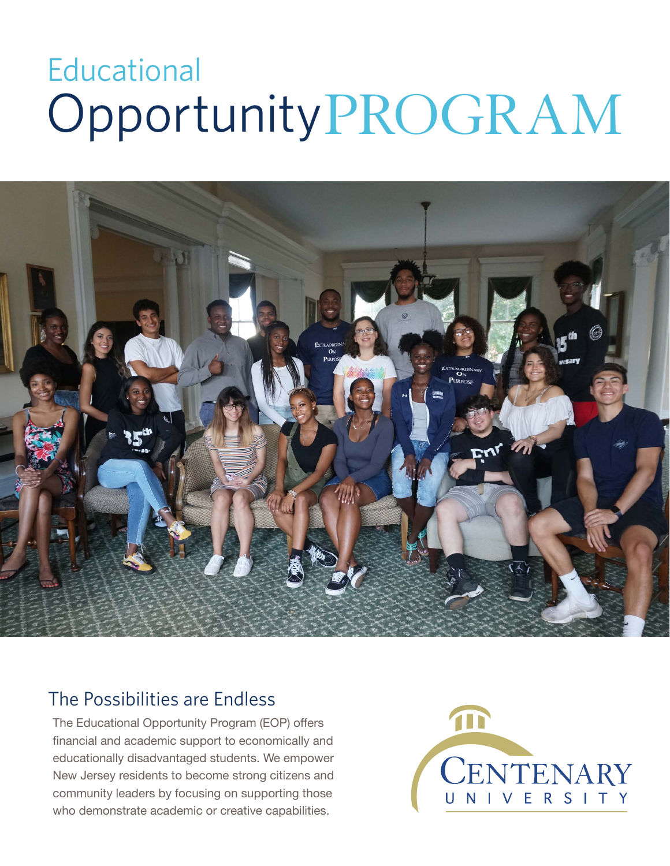# OpportunityPROGRAM **Educational**



### The Possibilities are Endless

The Educational Opportunity Program (EOP) offers financial and academic support to economically and educationally disadvantaged students. We empower New Jersey residents to become strong citizens and community leaders by focusing on supporting those who demonstrate academic or creative capabilities.